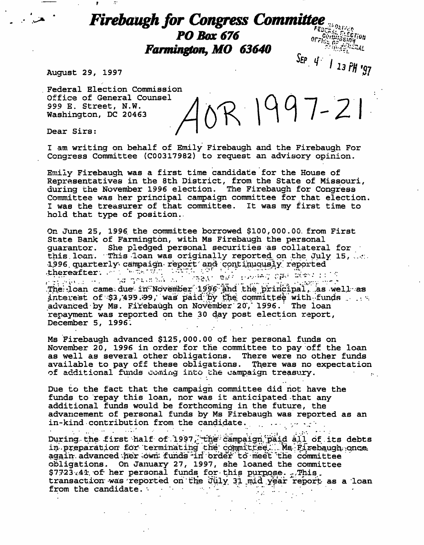## **i for Congress Committee**  $PO$  Box 676  $\frac{1}{2}$   $\frac{1}{2}$   $\frac{1}{2}$   $\frac{1}{2}$   $\frac{1}{2}$   $\frac{1}{2}$   $\frac{1}{2}$   $\frac{1}{2}$   $\frac{1}{2}$   $\frac{1}{2}$   $\frac{1}{2}$   $\frac{1}{2}$   $\frac{1}{2}$   $\frac{1}{2}$   $\frac{1}{2}$   $\frac{1}{2}$   $\frac{1}{2}$   $\frac{1}{2}$   $\frac{1}{2}$   $\frac{1}{2}$   $\frac{1}{2}$  $\frac{16}{100}$  Farmington, MO 63640 SEP  $4'$  / 13 PH '97

August 29, 1997

Federal Election Commission Office of General Counsel R 1997-21 999 E. Street, N.W. Washington, DC 20463 Dear Sirs:

I am writing on behalf of Emily Firebaugh and the Firebaugh For Congress Committee (C00317982) to request an advisory opinion.

Emily Firebaugh was a first time candidate for the House of Representatives in the 8th District, from the State of Missouri, during the November 1996 election. The Firebaugh for Congress Committee was her principal campaign committee for that election I was the treasurer of that committee. It was my first time to hold that type of position..

On June 25, 1996. the committee borrowed \$100,000.00. from First State Bank of Farmington, with Ms Firebaugh the personal guarantor. She pledged personal securities as collateral for this loan. This loan was originally reported on the July 15, ... •1,996. quarterly\* campaign- report' and continuously' reported •thereafter-. . • . "•••">. •"•'-". ' "-- ''-'f ; . . . . ,.., ,•. . . The loan came due in November  $1996$  and the principal, as well as interest of  $$3,499.99$ , was paid by the committee with funds ... advanced by Ms. Firebaugh on November 20, 1996. The loan repayment was reported on the 30 day post election report, December 5, 1996.

Ms Firebaugh advanced \$125,000.00 of her personal funds on November 20, 1996 in order for the committee to pay off the loan as well as several other obligations. There were no other funds available to pay off these obligations. There was no expectation of additional funds coming into the campaign treasury.  $\mathbf{r}$  .

Due to the fact that the campaign committee did not have the funds to repay this loan, nor was it anticipated that any additional funds would be forthcoming in the future, the advancement of personal funds by Ms Firebaugh was reported as an in-kind contribution from the candidate. . .- .- v:-•

During the first half of 1997, the campaign paid all of its debts in preparation for terminating the committee. Ms Firebaugh once again; advanced her own funds in order to meet the committee obligations.. On January 27, 1997, she loaned the committee  $$7723.41$  of her personal funds for this purpose. . This, transaction-was-reported on the July 31 mid year report as a loan from the candidate. from the candidate. •• • • • • • •